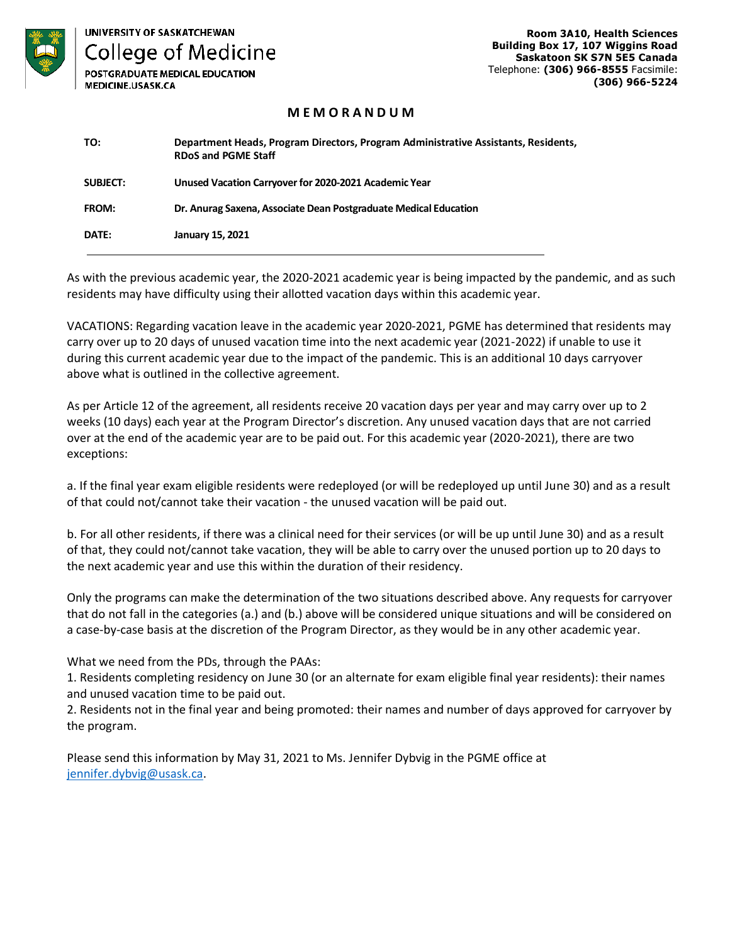

**UNIVERSITY OF SASKATCHEWAN College of Medicine** 

POSTGRADUATE MEDICAL EDUCATION MEDICINE.USASK.CA

**Room 3A10, Health Sciences Building Box 17, 107 Wiggins Road Saskatoon SK S7N 5E5 Canada**  Telephone: **(306) 966-8555** Facsimile: **(306) 966-5224**

## **M E M O R A N D U M**

| TO:             | Department Heads, Program Directors, Program Administrative Assistants, Residents,<br><b>RDoS and PGME Staff</b> |
|-----------------|------------------------------------------------------------------------------------------------------------------|
| <b>SUBJECT:</b> | Unused Vacation Carryover for 2020-2021 Academic Year                                                            |
| FROM:           | Dr. Anurag Saxena, Associate Dean Postgraduate Medical Education                                                 |
| DATE:           | January 15, 2021                                                                                                 |

As with the previous academic year, the 2020-2021 academic year is being impacted by the pandemic, and as such residents may have difficulty using their allotted vacation days within this academic year.

VACATIONS: Regarding vacation leave in the academic year 2020-2021, PGME has determined that residents may carry over up to 20 days of unused vacation time into the next academic year (2021-2022) if unable to use it during this current academic year due to the impact of the pandemic. This is an additional 10 days carryover above what is outlined in the collective agreement.

As per Article 12 of the agreement, all residents receive 20 vacation days per year and may carry over up to 2 weeks (10 days) each year at the Program Director's discretion. Any unused vacation days that are not carried over at the end of the academic year are to be paid out. For this academic year (2020-2021), there are two exceptions:

a. If the final year exam eligible residents were redeployed (or will be redeployed up until June 30) and as a result of that could not/cannot take their vacation - the unused vacation will be paid out.

b. For all other residents, if there was a clinical need for their services (or will be up until June 30) and as a result of that, they could not/cannot take vacation, they will be able to carry over the unused portion up to 20 days to the next academic year and use this within the duration of their residency.

Only the programs can make the determination of the two situations described above. Any requests for carryover that do not fall in the categories (a.) and (b.) above will be considered unique situations and will be considered on a case-by-case basis at the discretion of the Program Director, as they would be in any other academic year.

What we need from the PDs, through the PAAs:

1. Residents completing residency on June 30 (or an alternate for exam eligible final year residents): their names and unused vacation time to be paid out.

2. Residents not in the final year and being promoted: their names and number of days approved for carryover by the program.

Please send this information by May 31, 2021 to Ms. Jennifer Dybvig in the PGME office at [jennifer.dybvig@usask.ca.](mailto:jennifer.dybvig@usask.ca)